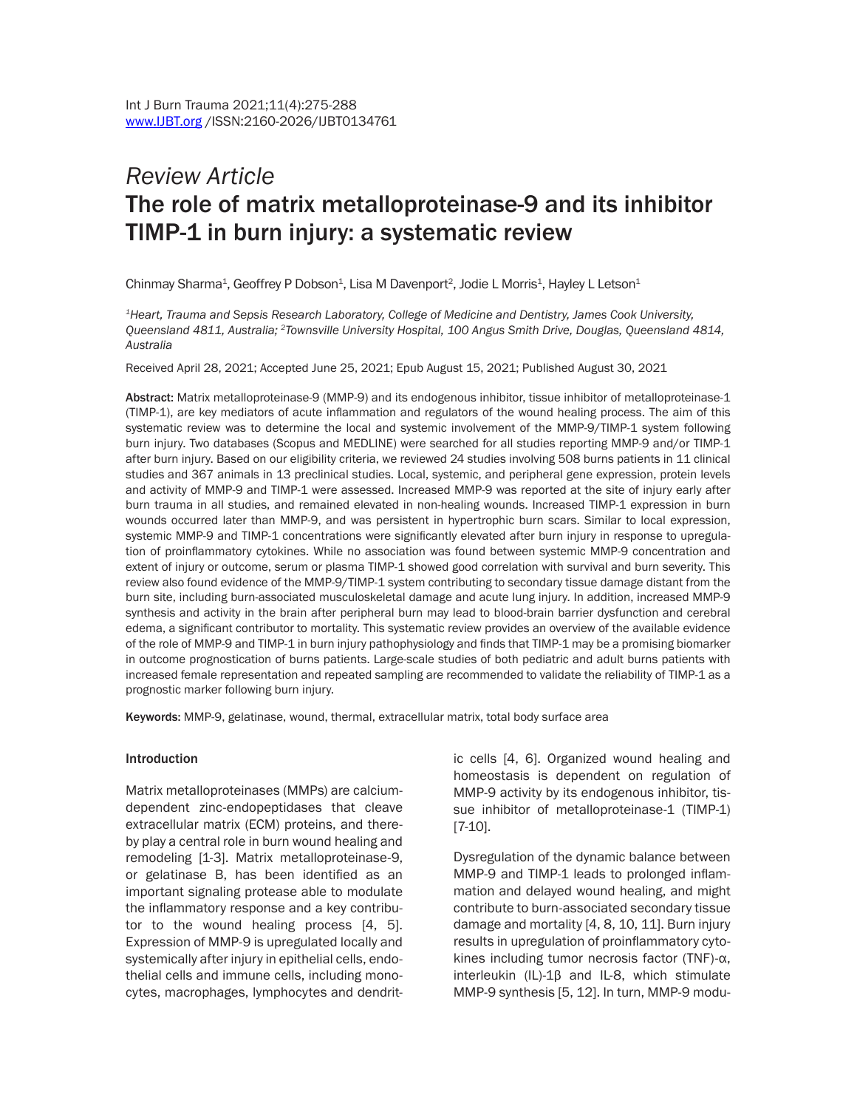# *Review Article* The role of matrix metalloproteinase-9 and its inhibitor TIMP-1 in burn injury: a systematic review

Chinmay Sharma<sup>1</sup>, Geoffrey P Dobson<sup>1</sup>, Lisa M Davenport<sup>2</sup>, Jodie L Morris<sup>1</sup>, Hayley L Letson<sup>1</sup>

*1Heart, Trauma and Sepsis Research Laboratory, College of Medicine and Dentistry, James Cook University, Queensland 4811, Australia; 2Townsville University Hospital, 100 Angus Smith Drive, Douglas, Queensland 4814, Australia*

Received April 28, 2021; Accepted June 25, 2021; Epub August 15, 2021; Published August 30, 2021

Abstract: Matrix metalloproteinase-9 (MMP-9) and its endogenous inhibitor, tissue inhibitor of metalloproteinase-1 (TIMP-1), are key mediators of acute inflammation and regulators of the wound healing process. The aim of this systematic review was to determine the local and systemic involvement of the MMP-9/TIMP-1 system following burn injury. Two databases (Scopus and MEDLINE) were searched for all studies reporting MMP-9 and/or TIMP-1 after burn injury. Based on our eligibility criteria, we reviewed 24 studies involving 508 burns patients in 11 clinical studies and 367 animals in 13 preclinical studies. Local, systemic, and peripheral gene expression, protein levels and activity of MMP-9 and TIMP-1 were assessed. Increased MMP-9 was reported at the site of injury early after burn trauma in all studies, and remained elevated in non-healing wounds. Increased TIMP-1 expression in burn wounds occurred later than MMP-9, and was persistent in hypertrophic burn scars. Similar to local expression, systemic MMP-9 and TIMP-1 concentrations were significantly elevated after burn injury in response to upregulation of proinflammatory cytokines. While no association was found between systemic MMP-9 concentration and extent of injury or outcome, serum or plasma TIMP-1 showed good correlation with survival and burn severity. This review also found evidence of the MMP-9/TIMP-1 system contributing to secondary tissue damage distant from the burn site, including burn-associated musculoskeletal damage and acute lung injury. In addition, increased MMP-9 synthesis and activity in the brain after peripheral burn may lead to blood-brain barrier dysfunction and cerebral edema, a significant contributor to mortality. This systematic review provides an overview of the available evidence of the role of MMP-9 and TIMP-1 in burn injury pathophysiology and finds that TIMP-1 may be a promising biomarker in outcome prognostication of burns patients. Large-scale studies of both pediatric and adult burns patients with increased female representation and repeated sampling are recommended to validate the reliability of TIMP-1 as a prognostic marker following burn injury.

Keywords: MMP-9, gelatinase, wound, thermal, extracellular matrix, total body surface area

#### **Introduction**

Matrix metalloproteinases (MMPs) are calciumdependent zinc-endopeptidases that cleave extracellular matrix (ECM) proteins, and thereby play a central role in burn wound healing and remodeling [1-3]. Matrix metalloproteinase-9, or gelatinase B, has been identified as an important signaling protease able to modulate the inflammatory response and a key contributor to the wound healing process [4, 5]. Expression of MMP-9 is upregulated locally and systemically after injury in epithelial cells, endothelial cells and immune cells, including monocytes, macrophages, lymphocytes and dendritic cells [4, 6]. Organized wound healing and homeostasis is dependent on regulation of MMP-9 activity by its endogenous inhibitor, tissue inhibitor of metalloproteinase-1 (TIMP-1) [7-10].

Dysregulation of the dynamic balance between MMP-9 and TIMP-1 leads to prolonged inflammation and delayed wound healing, and might contribute to burn-associated secondary tissue damage and mortality [4, 8, 10, 11]. Burn injury results in upregulation of proinflammatory cytokines including tumor necrosis factor (TNF)-α, interleukin (IL)-1β and IL-8, which stimulate MMP-9 synthesis [5, 12]. In turn, MMP-9 modu-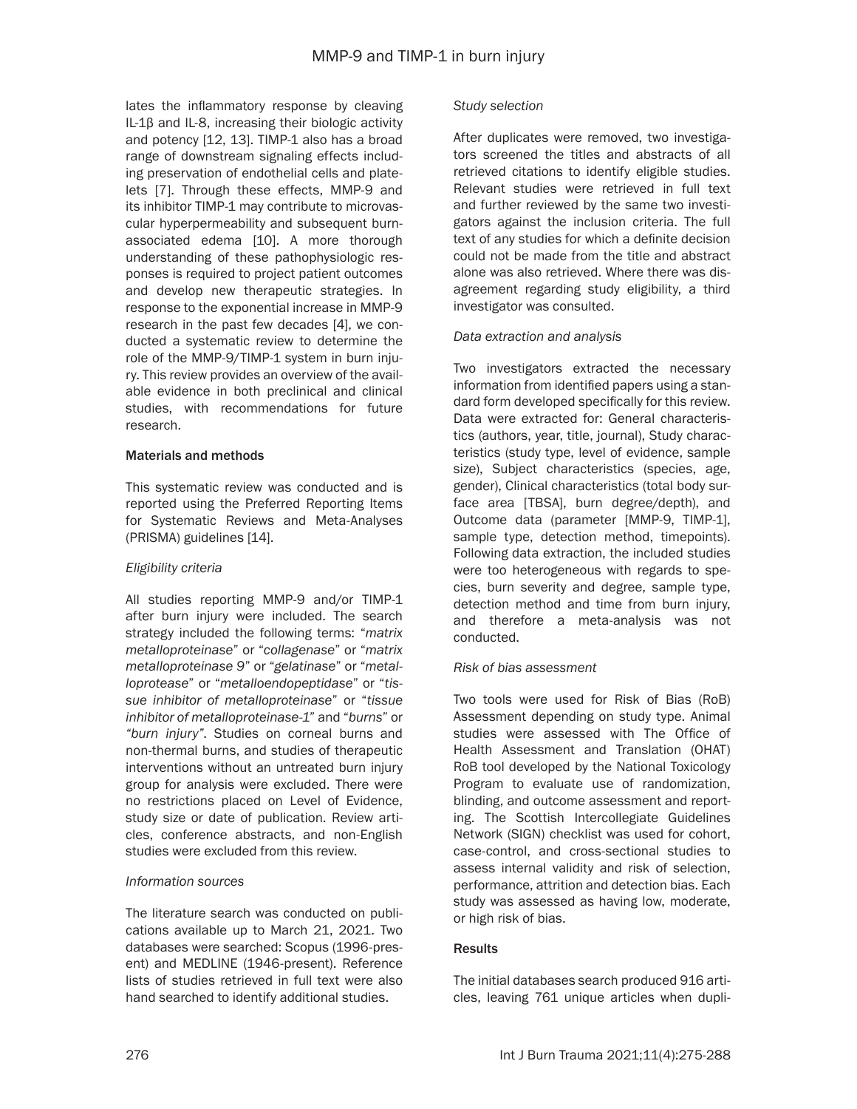lates the inflammatory response by cleaving IL-1β and IL-8, increasing their biologic activity and potency [12, 13]. TIMP-1 also has a broad range of downstream signaling effects including preservation of endothelial cells and platelets [7]. Through these effects, MMP-9 and its inhibitor TIMP-1 may contribute to microvascular hyperpermeability and subsequent burnassociated edema [10]. A more thorough understanding of these pathophysiologic responses is required to project patient outcomes and develop new therapeutic strategies. In response to the exponential increase in MMP-9 research in the past few decades [4], we conducted a systematic review to determine the role of the MMP-9/TIMP-1 system in burn injury. This review provides an overview of the available evidence in both preclinical and clinical studies, with recommendations for future research.

### Materials and methods

This systematic review was conducted and is reported using the Preferred Reporting Items for Systematic Reviews and Meta-Analyses (PRISMA) guidelines [14].

# *Eligibility criteria*

All studies reporting MMP-9 and/or TIMP-1 after burn injury were included. The search strategy included the following terms: "*matrix metalloproteinase*" or "*collagenase*" or "*matrix metalloproteinase 9*" or "*gelatinase*" or "*metalloprotease*" or "*metalloendopeptidase*" or "*tissue inhibitor of metalloproteinase*" or "*tissue inhibitor of metalloproteinase-1*" and "*burns*" or *"burn injury"*. Studies on corneal burns and non-thermal burns, and studies of therapeutic interventions without an untreated burn injury group for analysis were excluded. There were no restrictions placed on Level of Evidence, study size or date of publication. Review articles, conference abstracts, and non-English studies were excluded from this review.

# *Information sources*

The literature search was conducted on publications available up to March 21, 2021. Two databases were searched: Scopus (1996-present) and MEDLINE (1946-present). Reference lists of studies retrieved in full text were also hand searched to identify additional studies.

### *Study selection*

After duplicates were removed, two investigators screened the titles and abstracts of all retrieved citations to identify eligible studies. Relevant studies were retrieved in full text and further reviewed by the same two investigators against the inclusion criteria. The full text of any studies for which a definite decision could not be made from the title and abstract alone was also retrieved. Where there was disagreement regarding study eligibility, a third investigator was consulted.

# *Data extraction and analysis*

Two investigators extracted the necessary information from identified papers using a standard form developed specifically for this review. Data were extracted for: General characteristics (authors, year, title, journal), Study characteristics (study type, level of evidence, sample size), Subject characteristics (species, age, gender), Clinical characteristics (total body surface area [TBSA], burn degree/depth), and Outcome data (parameter [MMP-9, TIMP-1], sample type, detection method, timepoints). Following data extraction, the included studies were too heterogeneous with regards to species, burn severity and degree, sample type, detection method and time from burn injury, and therefore a meta-analysis was not conducted.

# *Risk of bias assessment*

Two tools were used for Risk of Bias (RoB) Assessment depending on study type. Animal studies were assessed with The Office of Health Assessment and Translation (OHAT) RoB tool developed by the National Toxicology Program to evaluate use of randomization, blinding, and outcome assessment and reporting. The Scottish Intercollegiate Guidelines Network (SIGN) checklist was used for cohort, case-control, and cross-sectional studies to assess internal validity and risk of selection, performance, attrition and detection bias. Each study was assessed as having low, moderate, or high risk of bias.

### **Results**

The initial databases search produced 916 articles, leaving 761 unique articles when dupli-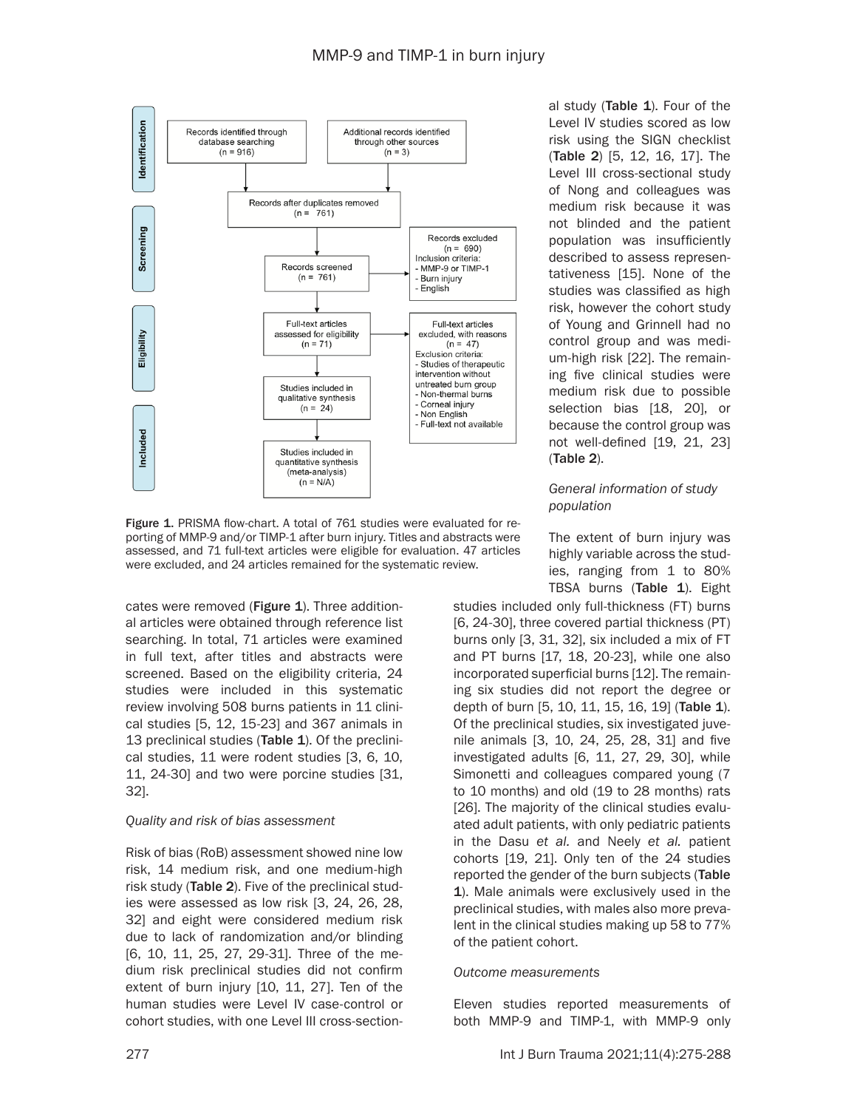

Figure 1. PRISMA flow-chart. A total of 761 studies were evaluated for reporting of MMP-9 and/or TIMP-1 after burn injury. Titles and abstracts were assessed, and 71 full-text articles were eligible for evaluation. 47 articles were excluded, and 24 articles remained for the systematic review.

cates were removed (Figure 1). Three additional articles were obtained through reference list searching. In total, 71 articles were examined in full text, after titles and abstracts were screened. Based on the eligibility criteria, 24 studies were included in this systematic review involving 508 burns patients in 11 clinical studies [5, 12, 15-23] and 367 animals in 13 preclinical studies (Table 1). Of the preclinical studies, 11 were rodent studies [3, 6, 10, 11, 24-30] and two were porcine studies [31, 32].

### *Quality and risk of bias assessment*

Risk of bias (RoB) assessment showed nine low risk, 14 medium risk, and one medium-high risk study (Table 2). Five of the preclinical studies were assessed as low risk [3, 24, 26, 28, 32] and eight were considered medium risk due to lack of randomization and/or blinding [6, 10, 11, 25, 27, 29-31]. Three of the medium risk preclinical studies did not confirm extent of burn injury [10, 11, 27]. Ten of the human studies were Level IV case-control or cohort studies, with one Level III cross-sectional study (Table 1). Four of the Level IV studies scored as low risk using the SIGN checklist (Table 2) [5, 12, 16, 17]. The Level III cross-sectional study of Nong and colleagues was medium risk because it was not blinded and the patient population was insufficiently described to assess representativeness [15]. None of the studies was classified as high risk, however the cohort study of Young and Grinnell had no control group and was medium-high risk [22]. The remaining five clinical studies were medium risk due to possible selection bias [18, 20], or because the control group was not well-defined [19, 21, 23] (Table 2).

# *General information of study population*

The extent of burn injury was highly variable across the studies, ranging from 1 to 80% TBSA burns (Table 1). Eight

studies included only full-thickness (FT) burns [6, 24-30], three covered partial thickness (PT) burns only [3, 31, 32], six included a mix of FT and PT burns [17, 18, 20-23], while one also incorporated superficial burns [12]. The remaining six studies did not report the degree or depth of burn [5, 10, 11, 15, 16, 19] (Table 1). Of the preclinical studies, six investigated juvenile animals [3, 10, 24, 25, 28, 31] and five investigated adults [6, 11, 27, 29, 30], while Simonetti and colleagues compared young (7 to 10 months) and old (19 to 28 months) rats [26]. The majority of the clinical studies evaluated adult patients, with only pediatric patients in the Dasu *et al.* and Neely *et al.* patient cohorts [19, 21]. Only ten of the 24 studies reported the gender of the burn subjects (Table 1). Male animals were exclusively used in the preclinical studies, with males also more prevalent in the clinical studies making up 58 to 77% of the patient cohort.

### *Outcome measurements*

Eleven studies reported measurements of both MMP-9 and TIMP-1, with MMP-9 only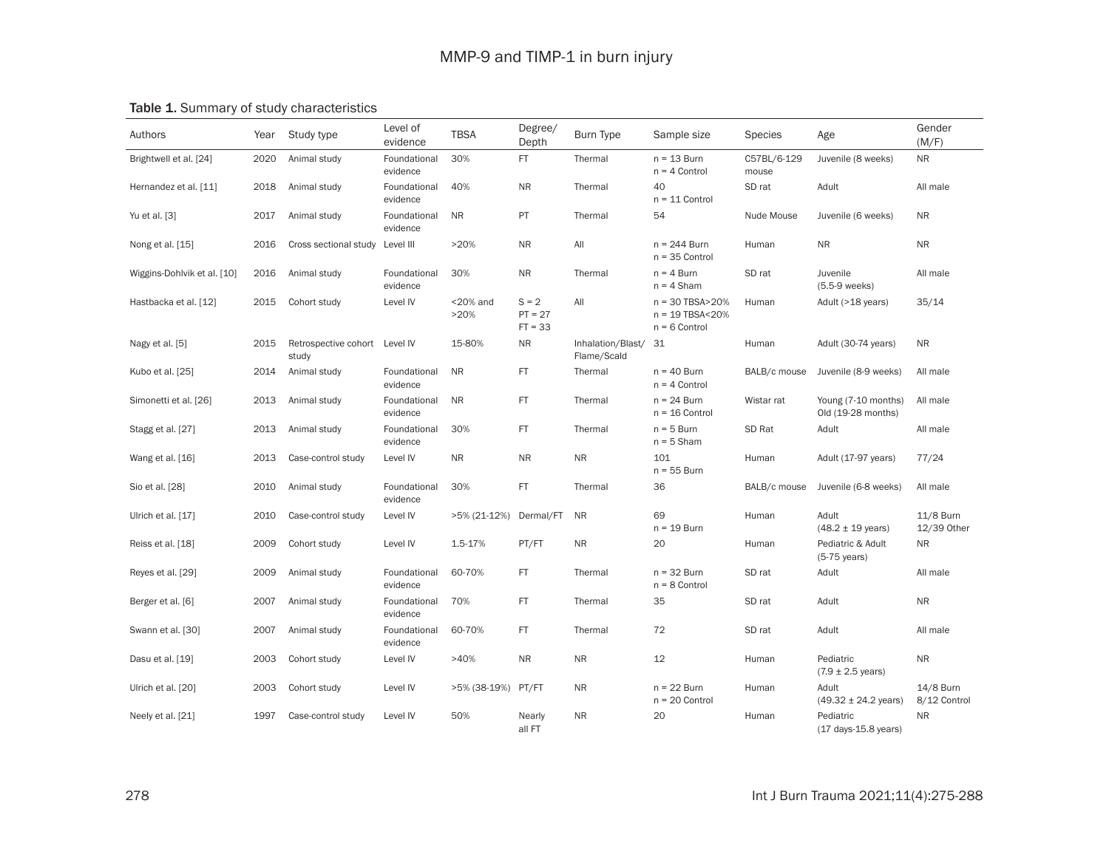# Table 1. Summary of study characteristics

| Authors                     | Year | Study type                             | Level of<br>evidence     | <b>TBSA</b>         | Degree/<br>Depth                  | Burn Type                        | Sample size                                               | <b>Species</b>       | Age                                         | Gender<br>(M/F)           |
|-----------------------------|------|----------------------------------------|--------------------------|---------------------|-----------------------------------|----------------------------------|-----------------------------------------------------------|----------------------|---------------------------------------------|---------------------------|
| Brightwell et al. [24]      | 2020 | Animal study                           | Foundational<br>evidence | 30%                 | FT.                               | Thermal                          | $n = 13$ Burn<br>$n = 4$ Control                          | C57BL/6-129<br>mouse | Juvenile (8 weeks)                          | <b>NR</b>                 |
| Hernandez et al. [11]       | 2018 | Animal study                           | Foundational<br>evidence | 40%                 | <b>NR</b>                         | Thermal                          | 40<br>$n = 11$ Control                                    | SD rat               | Adult                                       | All male                  |
| Yu et al. [3]               | 2017 | Animal study                           | Foundational<br>evidence | <b>NR</b>           | PT                                | Thermal                          | 54                                                        | Nude Mouse           | Juvenile (6 weeks)                          | NR.                       |
| Nong et al. [15]            | 2016 | Cross sectional study                  | Level III                | >20%                | <b>NR</b>                         | All                              | $n = 244$ Burn<br>$n = 35$ Control                        | Human                | <b>NR</b>                                   | <b>NR</b>                 |
| Wiggins-Dohlvik et al. [10] | 2016 | Animal study                           | Foundational<br>evidence | 30%                 | <b>NR</b>                         | Thermal                          | $n = 4$ Burn<br>$n = 4$ Sham                              | SD rat               | Juvenile<br>(5.5-9 weeks)                   | All male                  |
| Hastbacka et al. [12]       | 2015 | Cohort study                           | Level IV                 | $<$ 20% and<br>>20% | $S = 2$<br>$PT = 27$<br>$FT = 33$ | All                              | $n = 30$ TBSA>20%<br>$n = 19$ TBSA<20%<br>$n = 6$ Control | Human                | Adult (>18 years)                           | 35/14                     |
| Nagy et al. [5]             | 2015 | Retrospective cohort Level IV<br>study |                          | 15-80%              | <b>NR</b>                         | Inhalation/Blast/<br>Flame/Scald | -31                                                       | Human                | Adult (30-74 years)                         | <b>NR</b>                 |
| Kubo et al. [25]            | 2014 | Animal study                           | Foundational<br>evidence | <b>NR</b>           | FT                                | Thermal                          | $n = 40$ Burn<br>$n = 4$ Control                          | BALB/c mouse         | Juvenile (8-9 weeks)                        | All male                  |
| Simonetti et al. [26]       | 2013 | Animal study                           | Foundational<br>evidence | <b>NR</b>           | <b>FT</b>                         | Thermal                          | $n = 24$ Burn<br>$n = 16$ Control                         | Wistar rat           | Young (7-10 months)<br>Old (19-28 months)   | All male                  |
| Stagg et al. [27]           | 2013 | Animal study                           | Foundational<br>evidence | 30%                 | FT                                | Thermal                          | $n = 5$ Burn<br>$n = 5$ Sham                              | SD Rat               | Adult                                       | All male                  |
| Wang et al. [16]            | 2013 | Case-control study                     | Level IV                 | <b>NR</b>           | <b>NR</b>                         | <b>NR</b>                        | 101<br>$n = 55$ Burn                                      | Human                | Adult (17-97 years)                         | 77/24                     |
| Sio et al. [28]             | 2010 | Animal study                           | Foundational<br>evidence | 30%                 | FT                                | Thermal                          | 36                                                        | BALB/c mouse         | Juvenile (6-8 weeks)                        | All male                  |
| Ulrich et al. [17]          | 2010 | Case-control study                     | Level IV                 | $>5\%$ (21-12%)     | Dermal/FT                         | <b>NR</b>                        | 69<br>$n = 19$ Burn                                       | Human                | Adult<br>$(48.2 \pm 19 \text{ years})$      | 11/8 Burn<br>12/39 Other  |
| Reiss et al. [18]           | 2009 | Cohort study                           | Level IV                 | 1.5-17%             | PT/FT                             | <b>NR</b>                        | 20                                                        | Human                | Pediatric & Adult<br>$(5-75 \text{ years})$ | <b>NR</b>                 |
| Reyes et al. [29]           | 2009 | Animal study                           | Foundational<br>evidence | 60-70%              | FT.                               | Thermal                          | $n = 32$ Burn<br>$n = 8$ Control                          | SD rat               | Adult                                       | All male                  |
| Berger et al. [6]           | 2007 | Animal study                           | Foundational<br>evidence | 70%                 | FT                                | Thermal                          | 35                                                        | SD rat               | Adult                                       | <b>NR</b>                 |
| Swann et al. [30]           | 2007 | Animal study                           | Foundational<br>evidence | 60-70%              | FT                                | Thermal                          | 72                                                        | SD rat               | Adult                                       | All male                  |
| Dasu et al. [19]            | 2003 | Cohort study                           | Level IV                 | >40%                | <b>NR</b>                         | <b>NR</b>                        | 12                                                        | Human                | Pediatric<br>$(7.9 \pm 2.5 \text{ years})$  | N <sub>R</sub>            |
| Ulrich et al. [20]          | 2003 | Cohort study                           | Level IV                 | >5% (38-19%)        | PT/FT                             | <b>NR</b>                        | $n = 22$ Burn<br>$n = 20$ Control                         | Human                | Adult<br>$(49.32 \pm 24.2 \text{ years})$   | 14/8 Burn<br>8/12 Control |
| Neely et al. [21]           | 1997 | Case-control study                     | Level IV                 | 50%                 | Nearly<br>all FT                  | <b>NR</b>                        | 20                                                        | Human                | Pediatric<br>(17 days-15.8 years)           | <b>NR</b>                 |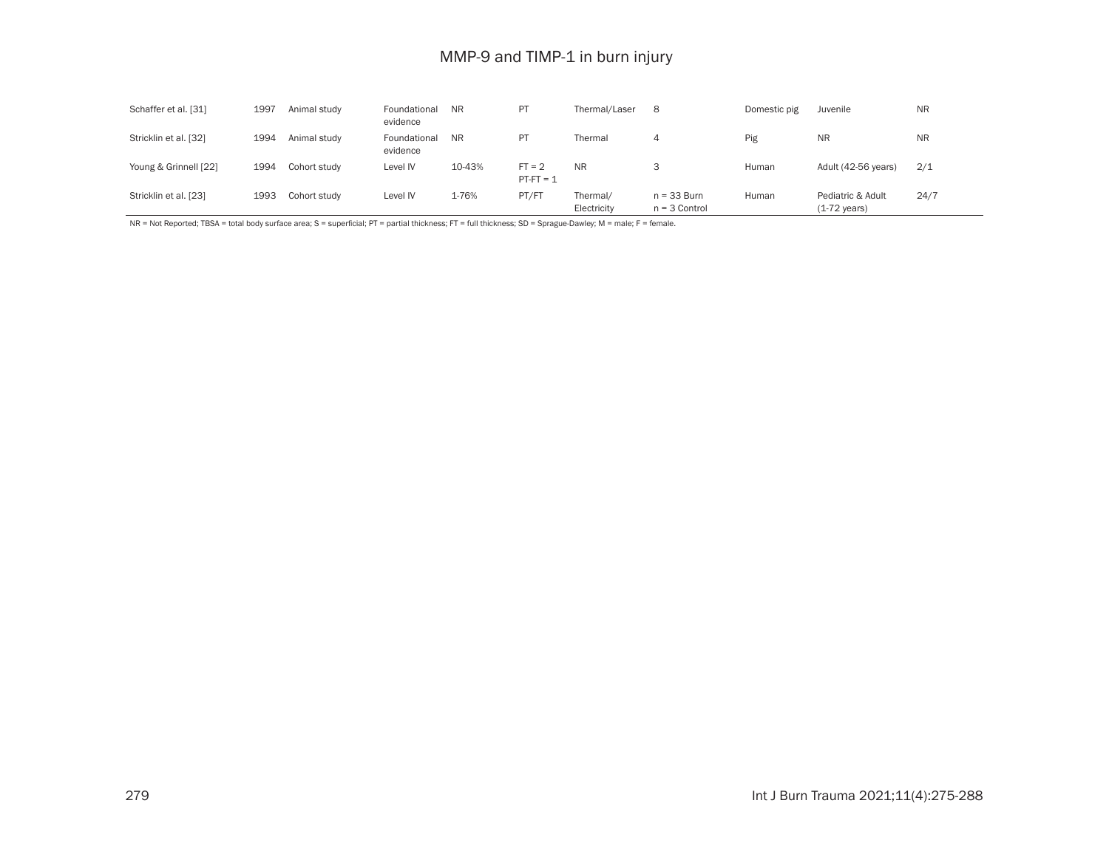# MMP-9 and TIMP-1 in burn injury

| Schaffer et al. [31]  | 1997 | Animal study | Foundational<br>evidence | <b>NR</b> | P1                      | Thermal/Laser           | 8                                | Domestic pig | Juvenile                                    | <b>NR</b> |
|-----------------------|------|--------------|--------------------------|-----------|-------------------------|-------------------------|----------------------------------|--------------|---------------------------------------------|-----------|
| Stricklin et al. [32] | 1994 | Animal study | Foundational<br>evidence | <b>NR</b> | P1                      | Thermal                 | 4                                | Pig          | <b>NR</b>                                   | <b>NR</b> |
| Young & Grinnell [22] | 1994 | Cohort study | Level IV                 | 10-43%    | $FT = 2$<br>$PT-FT = 1$ | <b>NR</b>               | C                                | Human        | Adult (42-56 years)                         | 2/1       |
| Stricklin et al. [23] | 1993 | Cohort study | Level IV                 | 1-76%     | PT/FT                   | Thermal/<br>Electricity | $n = 33$ Burn<br>$n = 3$ Control | Human        | Pediatric & Adult<br>$(1-72 \text{ years})$ | 24/7      |

NR = Not Reported; TBSA = total body surface area; S = superficial; PT = partial thickness; FT = full thickness; SD = Sprague-Dawley; M = male; F = female.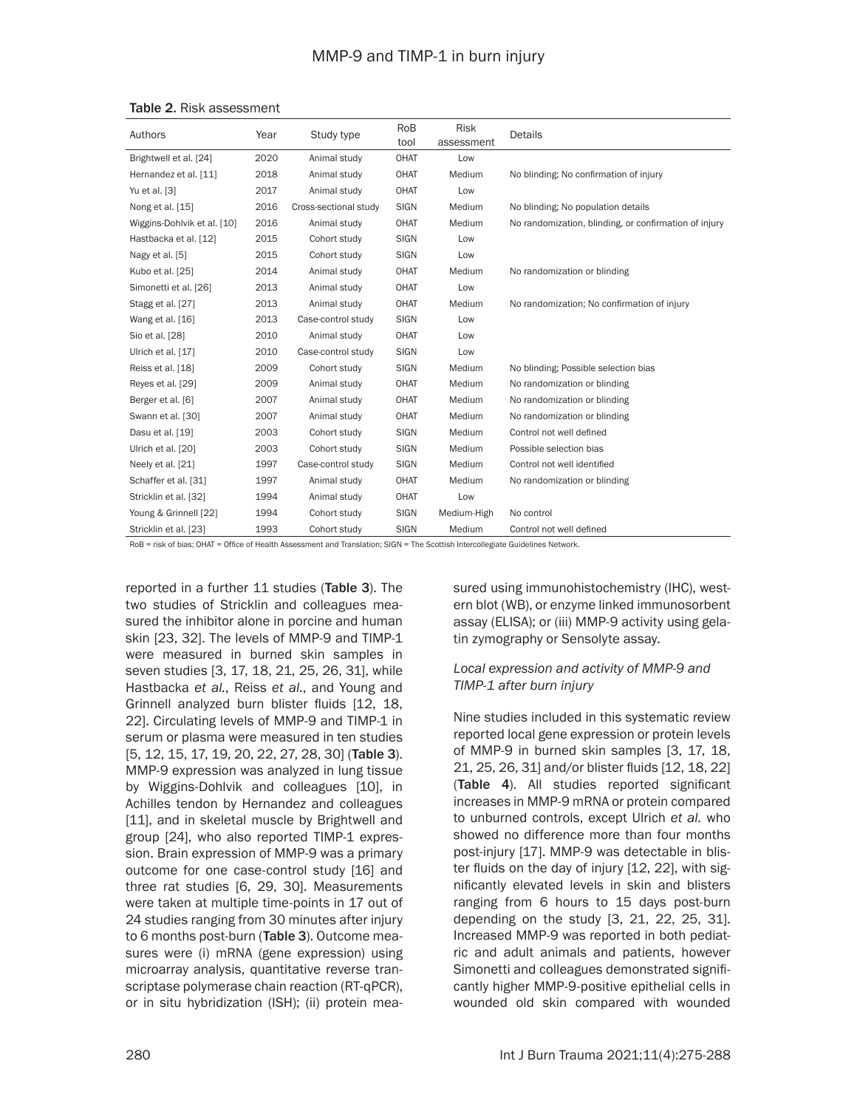| Authors                     | Year | Study type            | <b>RoB</b><br>tool | <b>Risk</b><br>assessment | Details                                               |
|-----------------------------|------|-----------------------|--------------------|---------------------------|-------------------------------------------------------|
| Brightwell et al. [24]      | 2020 | Animal study          | <b>OHAT</b>        | Low                       |                                                       |
| Hernandez et al. [11]       | 2018 | Animal study          | <b>OHAT</b>        | Medium                    | No blinding; No confirmation of injury                |
|                             | 2017 |                       | <b>OHAT</b>        |                           |                                                       |
| Yu et al. [3]               |      | Animal study          |                    | Low                       |                                                       |
| Nong et al. [15]            | 2016 | Cross-sectional study | <b>SIGN</b>        | Medium                    | No blinding; No population details                    |
| Wiggins-Dohlvik et al. [10] | 2016 | Animal study          | <b>OHAT</b>        | Medium                    | No randomization, blinding, or confirmation of injury |
| Hastbacka et al. [12]       | 2015 | Cohort study          | <b>SIGN</b>        | Low                       |                                                       |
| Nagy et al. [5]             | 2015 | Cohort study          | <b>SIGN</b>        | Low                       |                                                       |
| Kubo et al. [25]            | 2014 | Animal study          | <b>OHAT</b>        | Medium                    | No randomization or blinding                          |
| Simonetti et al. [26]       | 2013 | Animal study          | <b>OHAT</b>        | Low                       |                                                       |
| Stagg et al. [27]           | 2013 | Animal study          | <b>OHAT</b>        | Medium                    | No randomization; No confirmation of injury           |
| Wang et al. [16]            | 2013 | Case-control study    | <b>SIGN</b>        | Low                       |                                                       |
| Sio et al. [28]             | 2010 | Animal study          | <b>OHAT</b>        | Low                       |                                                       |
| Ulrich et al. [17]          | 2010 | Case-control study    | <b>SIGN</b>        | Low                       |                                                       |
| Reiss et al. [18]           | 2009 | Cohort study          | <b>SIGN</b>        | Medium                    | No blinding; Possible selection bias                  |
| Reyes et al. [29]           | 2009 | Animal study          | <b>OHAT</b>        | Medium                    | No randomization or blinding                          |
| Berger et al. [6]           | 2007 | Animal study          | <b>OHAT</b>        | Medium                    | No randomization or blinding                          |
| Swann et al. [30]           | 2007 | Animal study          | <b>OHAT</b>        | Medium                    | No randomization or blinding                          |
| Dasu et al. [19]            | 2003 | Cohort study          | <b>SIGN</b>        | Medium                    | Control not well defined                              |
| Ulrich et al. [20]          | 2003 | Cohort study          | <b>SIGN</b>        | Medium                    | Possible selection bias                               |
| Neely et al. [21]           | 1997 | Case-control study    | <b>SIGN</b>        | Medium                    | Control not well identified                           |
| Schaffer et al. [31]        | 1997 | Animal study          | <b>OHAT</b>        | Medium                    | No randomization or blinding                          |
| Stricklin et al. [32]       | 1994 | Animal study          | <b>OHAT</b>        | Low                       |                                                       |
| Young & Grinnell [22]       | 1994 | Cohort study          | SIGN               | Medium-High               | No control                                            |
| Stricklin et al. [23]       | 1993 | Cohort study          | <b>SIGN</b>        | Medium                    | Control not well defined                              |

|  | <b>Table 2. Risk assessment</b> |
|--|---------------------------------|
|  |                                 |

RoB = risk of bias; OHAT = Office of Health Assessment and Translation; SIGN = The Scottish Intercollegiate Guidelines Network.

reported in a further 11 studies (Table 3). The two studies of Stricklin and colleagues measured the inhibitor alone in porcine and human skin [23, 32]. The levels of MMP-9 and TIMP-1 were measured in burned skin samples in seven studies [3, 17, 18, 21, 25, 26, 31], while Hastbacka *et al.*, Reiss *et al.*, and Young and Grinnell analyzed burn blister fluids [12, 18, 22]. Circulating levels of MMP-9 and TIMP-1 in serum or plasma were measured in ten studies [5, 12, 15, 17, 19, 20, 22, 27, 28, 30] (Table 3). MMP-9 expression was analyzed in lung tissue by Wiggins-Dohlvik and colleagues [10], in Achilles tendon by Hernandez and colleagues [11], and in skeletal muscle by Brightwell and group [24], who also reported TIMP-1 expression. Brain expression of MMP-9 was a primary outcome for one case-control study [16] and three rat studies [6, 29, 30]. Measurements were taken at multiple time-points in 17 out of 24 studies ranging from 30 minutes after injury to 6 months post-burn (Table 3). Outcome measures were (i) mRNA (gene expression) using microarray analysis, quantitative reverse transcriptase polymerase chain reaction (RT-qPCR), or in situ hybridization (ISH); (ii) protein mea-

sured using immunohistochemistry (IHC), western blot (WB), or enzyme linked immunosorbent assay (ELISA); or (iii) MMP-9 activity using gelatin zymography or Sensolyte assay.

### *Local expression and activity of MMP-9 and TIMP-1 after burn injury*

Nine studies included in this systematic review reported local gene expression or protein levels of MMP-9 in burned skin samples [3, 17, 18, 21, 25, 26, 31] and/or blister fluids [12, 18, 22] (Table 4). All studies reported significant increases in MMP-9 mRNA or protein compared to unburned controls, except Ulrich *et al.* who showed no difference more than four months post-injury [17]. MMP-9 was detectable in blister fluids on the day of injury [12, 22], with significantly elevated levels in skin and blisters ranging from 6 hours to 15 days post-burn depending on the study [3, 21, 22, 25, 31]. Increased MMP-9 was reported in both pediatric and adult animals and patients, however Simonetti and colleagues demonstrated significantly higher MMP-9-positive epithelial cells in wounded old skin compared with wounded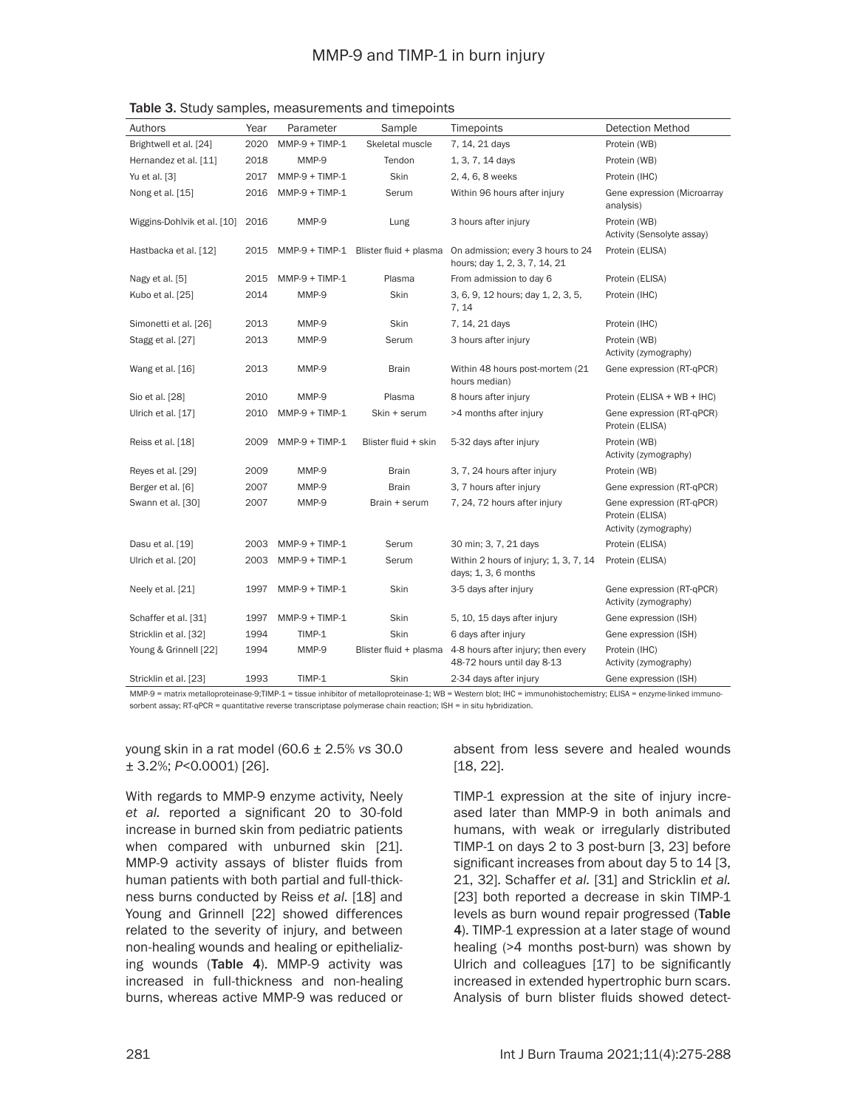| Authors                     | Year | Parameter        | Sample                                | Timepoints                                                         | <b>Detection Method</b>                                               |
|-----------------------------|------|------------------|---------------------------------------|--------------------------------------------------------------------|-----------------------------------------------------------------------|
| Brightwell et al. [24]      | 2020 | $MMP-9 + TIMP-1$ | Skeletal muscle                       | 7, 14, 21 days                                                     | Protein (WB)                                                          |
| Hernandez et al. [11]       | 2018 | MMP-9            | Tendon                                | 1, 3, 7, 14 days                                                   | Protein (WB)                                                          |
| Yu et al. [3]               | 2017 | $MMP-9 + TIMP-1$ | Skin                                  | 2, 4, 6, 8 weeks                                                   | Protein (IHC)                                                         |
| Nong et al. [15]            | 2016 | $MMP-9 + TIMP-1$ | Serum                                 | Within 96 hours after injury                                       | Gene expression (Microarray<br>analysis)                              |
| Wiggins-Dohlvik et al. [10] | 2016 | MMP-9            | Lung                                  | 3 hours after injury                                               | Protein (WB)<br>Activity (Sensolyte assay)                            |
| Hastbacka et al. [12]       | 2015 |                  | MMP-9 + TIMP-1 Blister fluid + plasma | On admission; every 3 hours to 24<br>hours; day 1, 2, 3, 7, 14, 21 | Protein (ELISA)                                                       |
| Nagy et al. [5]             | 2015 | $MMP-9 + TIMP-1$ | Plasma                                | From admission to day 6                                            | Protein (ELISA)                                                       |
| Kubo et al. [25]            | 2014 | MMP-9            | Skin                                  | 3, 6, 9, 12 hours; day 1, 2, 3, 5,<br>7.14                         | Protein (IHC)                                                         |
| Simonetti et al. [26]       | 2013 | MMP-9            | Skin                                  | 7, 14, 21 days                                                     | Protein (IHC)                                                         |
| Stagg et al. [27]           | 2013 | MMP-9            | Serum                                 | 3 hours after injury                                               | Protein (WB)<br>Activity (zymography)                                 |
| Wang et al. [16]            | 2013 | MMP-9            | <b>Brain</b>                          | Within 48 hours post-mortem (21)<br>hours median)                  | Gene expression (RT-qPCR)                                             |
| Sio et al. [28]             | 2010 | MMP-9            | Plasma                                | 8 hours after injury                                               | Protein (ELISA + WB + IHC)                                            |
| Ulrich et al. [17]          | 2010 | $MMP-9 + TIMP-1$ | Skin + serum                          | >4 months after injury                                             | Gene expression (RT-gPCR)<br>Protein (ELISA)                          |
| Reiss et al. [18]           | 2009 | $MMP-9 + TIMP-1$ | Blister fluid + skin                  | 5-32 days after injury                                             | Protein (WB)<br>Activity (zymography)                                 |
| Reyes et al. [29]           | 2009 | MMP-9            | <b>Brain</b>                          | 3, 7, 24 hours after injury                                        | Protein (WB)                                                          |
| Berger et al. [6]           | 2007 | MMP-9            | <b>Brain</b>                          | 3, 7 hours after injury                                            | Gene expression (RT-qPCR)                                             |
| Swann et al. [30]           | 2007 | MMP-9            | Brain + serum                         | 7, 24, 72 hours after injury                                       | Gene expression (RT-qPCR)<br>Protein (ELISA)<br>Activity (zymography) |
| Dasu et al. [19]            | 2003 | $MMP-9 + TIMP-1$ | Serum                                 | 30 min; 3, 7, 21 days                                              | Protein (ELISA)                                                       |
| Ulrich et al. [20]          | 2003 | $MMP-9 + TIMP-1$ | Serum                                 | Within 2 hours of injury; 1, 3, 7, 14<br>days; 1, 3, 6 months      | Protein (ELISA)                                                       |
| Neely et al. [21]           | 1997 | $MMP-9 + TIMP-1$ | Skin                                  | 3-5 days after injury                                              | Gene expression (RT-qPCR)<br>Activity (zymography)                    |
| Schaffer et al. [31]        | 1997 | $MMP-9 + TIMP-1$ | Skin                                  | 5, 10, 15 days after injury                                        | Gene expression (ISH)                                                 |
| Stricklin et al. [32]       | 1994 | TIMP-1           | Skin                                  | 6 days after injury                                                | Gene expression (ISH)                                                 |
| Young & Grinnell [22]       | 1994 | MMP-9            | Blister fluid + plasma                | 4-8 hours after injury; then every<br>48-72 hours until day 8-13   | Protein (IHC)<br>Activity (zymography)                                |
| Stricklin et al. [23]       | 1993 | TIMP-1           | Skin                                  | 2-34 days after injury                                             | Gene expression (ISH)                                                 |

Table 3. Study samples, measurements and timepoints

MMP-9 = matrix metalloproteinase-9;TIMP-1 = tissue inhibitor of metalloproteinase-1; WB = Western blot; IHC = immunohistochemistry; ELISA = enzyme-linked immunosorbent assay; RT-qPCR = quantitative reverse transcriptase polymerase chain reaction; ISH = in situ hybridization.

young skin in a rat model (60.6 ± 2.5% *vs* 30.0 ± 3.2%; *P*<0.0001) [26].

With regards to MMP-9 enzyme activity, Neely *et al.* reported a significant 20 to 30-fold increase in burned skin from pediatric patients when compared with unburned skin [21]. MMP-9 activity assays of blister fluids from human patients with both partial and full-thickness burns conducted by Reiss *et al.* [18] and Young and Grinnell [22] showed differences related to the severity of injury, and between non-healing wounds and healing or epithelializing wounds (Table 4). MMP-9 activity was increased in full-thickness and non-healing burns, whereas active MMP-9 was reduced or

absent from less severe and healed wounds [18, 22].

TIMP-1 expression at the site of injury increased later than MMP-9 in both animals and humans, with weak or irregularly distributed TIMP-1 on days 2 to 3 post-burn [3, 23] before significant increases from about day 5 to 14 [3, 21, 32]. Schaffer *et al.* [31] and Stricklin *et al.* [23] both reported a decrease in skin TIMP-1 levels as burn wound repair progressed (Table 4). TIMP-1 expression at a later stage of wound healing (>4 months post-burn) was shown by Ulrich and colleagues [17] to be significantly increased in extended hypertrophic burn scars. Analysis of burn blister fluids showed detect-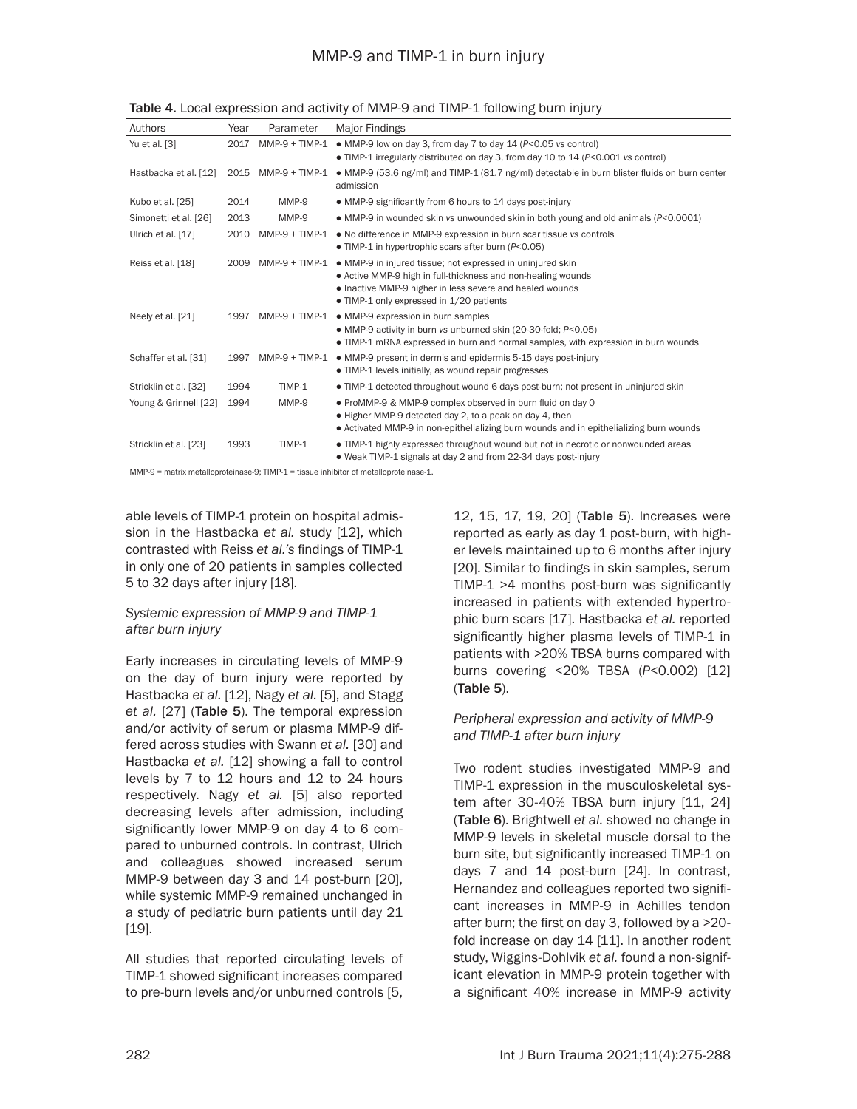# MMP-9 and TIMP-1 in burn injury

| Authors               | Year | Parameter        | Major Findings                                                                                                                                                                                                                     |
|-----------------------|------|------------------|------------------------------------------------------------------------------------------------------------------------------------------------------------------------------------------------------------------------------------|
| Yu et al. [3]         | 2017 | $MMP-9 + TIMP-1$ | • MMP-9 low on day 3, from day 7 to day 14 (P<0.05 vs control)                                                                                                                                                                     |
|                       |      |                  | • TIMP-1 irregularly distributed on day 3, from day 10 to 14 (P<0.001 vs control)                                                                                                                                                  |
| Hastbacka et al. [12] | 2015 | $MMP-9 + TIMP-1$ | • MMP-9 (53.6 ng/ml) and TIMP-1 (81.7 ng/ml) detectable in burn blister fluids on burn center<br>admission                                                                                                                         |
| Kubo et al. [25]      | 2014 | MMP-9            | • MMP-9 significantly from 6 hours to 14 days post-injury                                                                                                                                                                          |
| Simonetti et al. [26] | 2013 | MMP-9            | • MMP-9 in wounded skin vs unwounded skin in both young and old animals $(P<0.0001)$                                                                                                                                               |
| Ulrich et al. [17]    | 2010 | $MMP-9 + TIMP-1$ | • No difference in MMP-9 expression in burn scar tissue vs controls<br>• TIMP-1 in hypertrophic scars after burn $(P<0.05)$                                                                                                        |
| Reiss et al. [18]     | 2009 | $MMP-9 + TIMP-1$ | • MMP-9 in injured tissue; not expressed in uninjured skin<br>• Active MMP-9 high in full-thickness and non-healing wounds<br>• Inactive MMP-9 higher in less severe and healed wounds<br>• TIMP-1 only expressed in 1/20 patients |
| Neely et al. [21]     | 1997 | $MMP-9 + TIMP-1$ | • MMP-9 expression in burn samples<br>• MMP-9 activity in burn vs unburned skin (20-30-fold; P<0.05)<br>• TIMP-1 mRNA expressed in burn and normal samples, with expression in burn wounds                                         |
| Schaffer et al. [31]  | 1997 | $MMP-9 + TIMP-1$ | • MMP-9 present in dermis and epidermis 5-15 days post-injury<br>• TIMP-1 levels initially, as wound repair progresses                                                                                                             |
| Stricklin et al. [32] | 1994 | TIMP-1           | • TIMP-1 detected throughout wound 6 days post-burn; not present in uninjured skin                                                                                                                                                 |
| Young & Grinnell [22] | 1994 | MMP-9            | . ProMMP-9 & MMP-9 complex observed in burn fluid on day 0<br>• Higher MMP-9 detected day 2, to a peak on day 4, then<br>• Activated MMP-9 in non-epithelializing burn wounds and in epithelializing burn wounds                   |
| Stricklin et al. [23] | 1993 | TIMP-1           | • TIMP-1 highly expressed throughout wound but not in necrotic or nonwounded areas<br>• Weak TIMP-1 signals at day 2 and from 22-34 days post-injury                                                                               |

Table 4. Local expression and activity of MMP-9 and TIMP-1 following burn injury

MMP-9 = matrix metalloproteinase-9; TIMP-1 = tissue inhibitor of metalloproteinase-1.

able levels of TIMP-1 protein on hospital admission in the Hastbacka *et al.* study [12], which contrasted with Reiss *et al.'s* findings of TIMP-1 in only one of 20 patients in samples collected 5 to 32 days after injury [18].

# *Systemic expression of MMP-9 and TIMP-1 after burn injury*

Early increases in circulating levels of MMP-9 on the day of burn injury were reported by Hastbacka *et al.* [12], Nagy *et al.* [5], and Stagg *et al.* [27] (Table 5). The temporal expression and/or activity of serum or plasma MMP-9 differed across studies with Swann *et al.* [30] and Hastbacka *et al.* [12] showing a fall to control levels by 7 to 12 hours and 12 to 24 hours respectively. Nagy *et al.* [5] also reported decreasing levels after admission, including significantly lower MMP-9 on day 4 to 6 compared to unburned controls. In contrast, Ulrich and colleagues showed increased serum MMP-9 between day 3 and 14 post-burn [20], while systemic MMP-9 remained unchanged in a study of pediatric burn patients until day 21 [19].

All studies that reported circulating levels of TIMP-1 showed significant increases compared to pre-burn levels and/or unburned controls [5, 12, 15, 17, 19, 20] (Table 5). Increases were reported as early as day 1 post-burn, with higher levels maintained up to 6 months after injury [20]. Similar to findings in skin samples, serum TIMP-1 >4 months post-burn was significantly increased in patients with extended hypertrophic burn scars [17]. Hastbacka *et al.* reported significantly higher plasma levels of TIMP-1 in patients with >20% TBSA burns compared with burns covering <20% TBSA (*P*<0.002) [12] (Table 5).

# *Peripheral expression and activity of MMP-9 and TIMP-1 after burn injury*

Two rodent studies investigated MMP-9 and TIMP-1 expression in the musculoskeletal system after 30-40% TBSA burn injury [11, 24] (Table 6). Brightwell *et al.* showed no change in MMP-9 levels in skeletal muscle dorsal to the burn site, but significantly increased TIMP-1 on days 7 and 14 post-burn [24]. In contrast, Hernandez and colleagues reported two significant increases in MMP-9 in Achilles tendon after burn; the first on day 3, followed by a >20 fold increase on day 14 [11]. In another rodent study, Wiggins-Dohlvik *et al.* found a non-significant elevation in MMP-9 protein together with a significant 40% increase in MMP-9 activity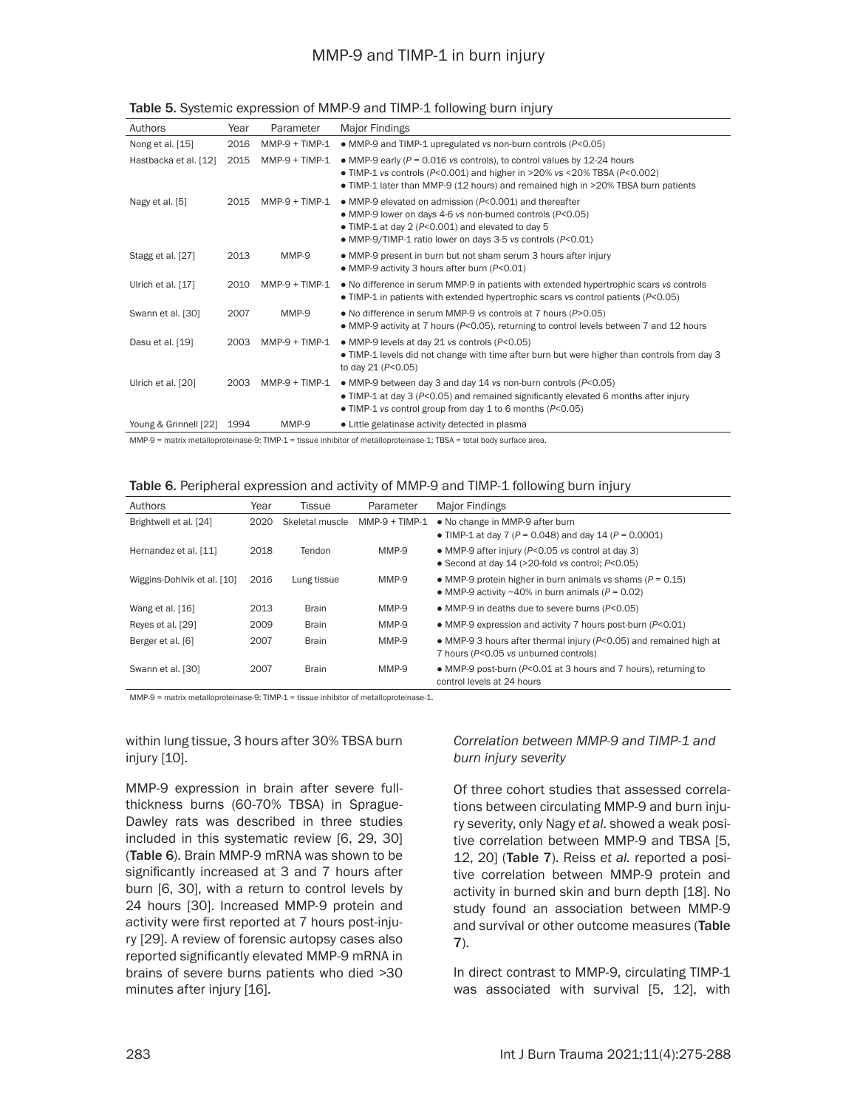# MMP-9 and TIMP-1 in burn injury

| Authors               | Year | Parameter        | Major Findings                                                                                                                                                                                                                                          |
|-----------------------|------|------------------|---------------------------------------------------------------------------------------------------------------------------------------------------------------------------------------------------------------------------------------------------------|
| Nong et al. [15]      | 2016 | $MMP-9 + TIMP-1$ | • MMP-9 and TIMP-1 upregulated vs non-burn controls (P<0.05)                                                                                                                                                                                            |
| Hastbacka et al. [12] | 2015 | $MMP-9 + TIMP-1$ | • MMP-9 early ( $P = 0.016$ vs controls), to control values by 12-24 hours<br>• TIMP-1 vs controls ( $P < 0.001$ ) and higher in >20% vs <20% TBSA ( $P < 0.002$ )<br>• TIMP-1 later than MMP-9 (12 hours) and remained high in >20% TBSA burn patients |
| Nagy et al. [5]       | 2015 | $MMP-9 + TIMP-1$ | • MMP-9 elevated on admission (P<0.001) and thereafter<br>• MMP-9 lower on days 4-6 vs non-burned controls (P<0.05)<br>• TIMP-1 at day 2 (P<0.001) and elevated to day 5<br>• MMP-9/TIMP-1 ratio lower on days 3-5 vs controls (P<0.01)                 |
| Stagg et al. [27]     | 2013 | MMP-9            | • MMP-9 present in burn but not sham serum 3 hours after injury<br>• MMP-9 activity 3 hours after burn (P<0.01)                                                                                                                                         |
| Ulrich et al. [17]    | 2010 | $MMP-9 + TIMP-1$ | • No difference in serum MMP-9 in patients with extended hypertrophic scars vs controls<br>• TIMP-1 in patients with extended hypertrophic scars vs control patients ( $P < 0.05$ )                                                                     |
| Swann et al. [30]     | 2007 | MMP-9            | • No difference in serum MMP-9 vs controls at 7 hours (P>0.05)<br>• MMP-9 activity at 7 hours (P<0.05), returning to control levels between 7 and 12 hours                                                                                              |
| Dasu et al. [19]      | 2003 | $MMP-9 + TIMP-1$ | • MMP-9 levels at day 21 vs controls (P<0.05)<br>• TIMP-1 levels did not change with time after burn but were higher than controls from day 3<br>to day $21 (P < 0.05)$                                                                                 |
| Ulrich et al. [20]    | 2003 | $MMP-9 + TIMP-1$ | • MMP-9 between day 3 and day 14 vs non-burn controls (P<0.05)<br>• TIMP-1 at day 3 (P<0.05) and remained significantly elevated 6 months after injury<br>• TIMP-1 vs control group from day 1 to 6 months (P<0.05)                                     |
| Young & Grinnell [22] | 1994 | MMP-9            | • Little gelatinase activity detected in plasma                                                                                                                                                                                                         |

#### Table 5. Systemic expression of MMP-9 and TIMP-1 following burn injury

MMP-9 = matrix metalloproteinase-9; TIMP-1 = tissue inhibitor of metalloproteinase-1; TBSA = total body surface area.

#### Table 6. Peripheral expression and activity of MMP-9 and TIMP-1 following burn injury

| Authors                     | Year | Tissue          | Parameter        | Maior Findings                                                                                                         |
|-----------------------------|------|-----------------|------------------|------------------------------------------------------------------------------------------------------------------------|
| Brightwell et al. [24]      | 2020 | Skeletal muscle | $MMP-9 + TIMP-1$ | • No change in MMP-9 after burn<br>• TIMP-1 at day 7 ( $P = 0.048$ ) and day 14 ( $P = 0.0001$ )                       |
| Hernandez et al. [11]       | 2018 | Tendon          | MMP-9            | • MMP-9 after injury (P<0.05 vs control at day 3)<br>• Second at day 14 ( $>$ 20-fold vs control; $P < 0.05$ )         |
| Wiggins-Dohlvik et al. [10] | 2016 | Lung tissue     | MMP-9            | • MMP-9 protein higher in burn animals vs shams ( $P = 0.15$ )<br>• MMP-9 activity ~40% in burn animals ( $P = 0.02$ ) |
| Wang et al. [16]            | 2013 | Brain           | MMP-9            | • MMP-9 in deaths due to severe burns (P<0.05)                                                                         |
| Reyes et al. [29]           | 2009 | <b>Brain</b>    | MMP-9            | • MMP-9 expression and activity 7 hours post-burn (P<0.01)                                                             |
| Berger et al. [6]           | 2007 | <b>Brain</b>    | MMP-9            | • MMP-9 3 hours after thermal injury ( $P < 0.05$ ) and remained high at<br>7 hours (P<0.05 vs unburned controls)      |
| Swann et al. [30]           | 2007 | <b>Brain</b>    | MMP-9            | • MMP-9 post-burn (P<0.01 at 3 hours and 7 hours), returning to<br>control levels at 24 hours                          |

MMP-9 = matrix metalloproteinase-9; TIMP-1 = tissue inhibitor of metalloproteinase-1.

within lung tissue, 3 hours after 30% TBSA burn injury [10].

MMP-9 expression in brain after severe fullthickness burns (60-70% TBSA) in Sprague-Dawley rats was described in three studies included in this systematic review [6, 29, 30] (Table 6). Brain MMP-9 mRNA was shown to be significantly increased at 3 and 7 hours after burn [6, 30], with a return to control levels by 24 hours [30]. Increased MMP-9 protein and activity were first reported at 7 hours post-injury [29]. A review of forensic autopsy cases also reported significantly elevated MMP-9 mRNA in brains of severe burns patients who died >30 minutes after injury [16].

### *Correlation between MMP-9 and TIMP-1 and burn injury severity*

Of three cohort studies that assessed correlations between circulating MMP-9 and burn injury severity, only Nagy *et al.* showed a weak positive correlation between MMP-9 and TBSA [5, 12, 20] (Table 7). Reiss *et al.* reported a positive correlation between MMP-9 protein and activity in burned skin and burn depth [18]. No study found an association between MMP-9 and survival or other outcome measures (Table 7).

In direct contrast to MMP-9, circulating TIMP-1 was associated with survival [5, 12], with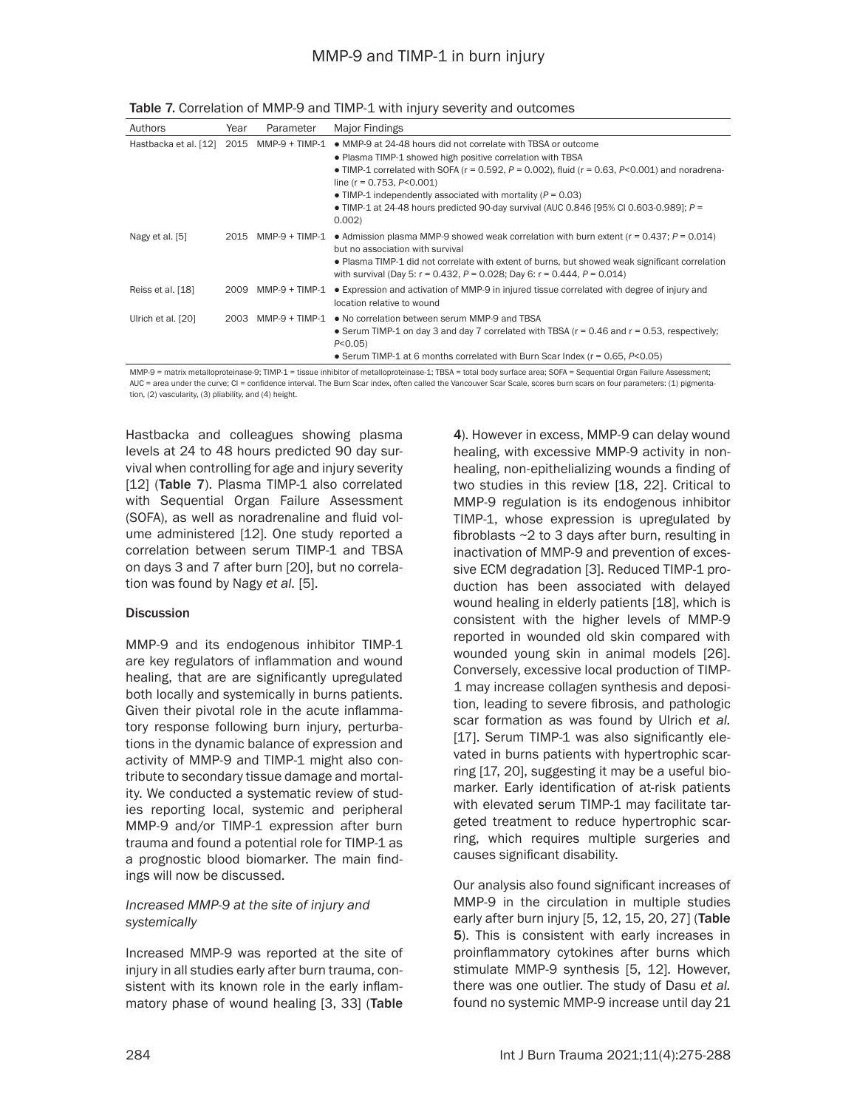| Authors                    | Year | Parameter      | Major Findings                                                                                                                                                                                                                                                                                                                                                                                                                                              |
|----------------------------|------|----------------|-------------------------------------------------------------------------------------------------------------------------------------------------------------------------------------------------------------------------------------------------------------------------------------------------------------------------------------------------------------------------------------------------------------------------------------------------------------|
| Hastbacka et al. [12] 2015 |      | MMP-9 + TIMP-1 | • MMP-9 at 24-48 hours did not correlate with TBSA or outcome<br>. Plasma TIMP-1 showed high positive correlation with TBSA<br>• TIMP-1 correlated with SOFA ( $r = 0.592$ , $P = 0.002$ ), fluid ( $r = 0.63$ , $P < 0.001$ ) and noradrena-<br>line ( $r = 0.753$ , $P < 0.001$ )<br>• TIMP-1 independently associated with mortality ( $P = 0.03$ )<br>• TIMP-1 at 24-48 hours predicted 90-day survival (AUC 0.846 [95% CI 0.603-0.989]; $P =$<br>0.002 |
| Nagy et al. [5]            | 2015 | MMP-9 + TIMP-1 | • Admission plasma MMP-9 showed weak correlation with burn extent ( $r = 0.437$ ; $P = 0.014$ )<br>but no association with survival<br>• Plasma TIMP-1 did not correlate with extent of burns, but showed weak significant correlation<br>with survival (Day 5: r = 0.432, P = 0.028; Day 6: r = 0.444, P = 0.014)                                                                                                                                          |
| Reiss et al. [18]          | 2009 | MMP-9 + TIMP-1 | • Expression and activation of MMP-9 in injured tissue correlated with degree of injury and<br>location relative to wound                                                                                                                                                                                                                                                                                                                                   |
| Ulrich et al. [20]         | 2003 | MMP-9 + TIMP-1 | • No correlation between serum MMP-9 and TBSA<br>• Serum TIMP-1 on day 3 and day 7 correlated with TBSA ( $r = 0.46$ and $r = 0.53$ , respectively;<br>$P < 0.05$ )<br>• Serum TIMP-1 at 6 months correlated with Burn Scar Index ( $r = 0.65$ , $P < 0.05$ )                                                                                                                                                                                               |

| Table 7. Correlation of MMP-9 and TIMP-1 with injury severity and outcomes |  |
|----------------------------------------------------------------------------|--|
|----------------------------------------------------------------------------|--|

MMP-9 = matrix metalloproteinase-9; TIMP-1 = tissue inhibitor of metalloproteinase-1; TBSA = total body surface area; SOFA = Sequential Organ Failure Assessment; AUC = area under the curve; CI = confidence interval. The Burn Scar index, often called the Vancouver Scar Scale, scores burn scars on four parameters: (1) pigmentation, (2) vascularity, (3) pliability, and (4) height.

Hastbacka and colleagues showing plasma levels at 24 to 48 hours predicted 90 day survival when controlling for age and injury severity [12] (Table 7). Plasma TIMP-1 also correlated with Sequential Organ Failure Assessment (SOFA), as well as noradrenaline and fluid volume administered [12]. One study reported a correlation between serum TIMP-1 and TBSA on days 3 and 7 after burn [20], but no correlation was found by Nagy *et al.* [5].

### **Discussion**

MMP-9 and its endogenous inhibitor TIMP-1 are key regulators of inflammation and wound healing, that are are significantly upregulated both locally and systemically in burns patients. Given their pivotal role in the acute inflammatory response following burn injury, perturbations in the dynamic balance of expression and activity of MMP-9 and TIMP-1 might also contribute to secondary tissue damage and mortality. We conducted a systematic review of studies reporting local, systemic and peripheral MMP-9 and/or TIMP-1 expression after burn trauma and found a potential role for TIMP-1 as a prognostic blood biomarker. The main findings will now be discussed.

# *Increased MMP-9 at the site of injury and systemically*

Increased MMP-9 was reported at the site of injury in all studies early after burn trauma, consistent with its known role in the early inflammatory phase of wound healing [3, 33] (Table 4). However in excess, MMP-9 can delay wound healing, with excessive MMP-9 activity in nonhealing, non-epithelializing wounds a finding of two studies in this review [18, 22]. Critical to MMP-9 regulation is its endogenous inhibitor TIMP-1, whose expression is upregulated by fibroblasts ~2 to 3 days after burn, resulting in inactivation of MMP-9 and prevention of excessive ECM degradation [3]. Reduced TIMP-1 production has been associated with delayed wound healing in elderly patients [18], which is consistent with the higher levels of MMP-9 reported in wounded old skin compared with wounded young skin in animal models [26]. Conversely, excessive local production of TIMP-1 may increase collagen synthesis and deposition, leading to severe fibrosis, and pathologic scar formation as was found by Ulrich *et al.* [17]. Serum TIMP-1 was also significantly elevated in burns patients with hypertrophic scarring [17, 20], suggesting it may be a useful biomarker. Early identification of at-risk patients with elevated serum TIMP-1 may facilitate targeted treatment to reduce hypertrophic scarring, which requires multiple surgeries and causes significant disability.

Our analysis also found significant increases of MMP-9 in the circulation in multiple studies early after burn injury [5, 12, 15, 20, 27] (Table 5). This is consistent with early increases in proinflammatory cytokines after burns which stimulate MMP-9 synthesis [5, 12]. However, there was one outlier. The study of Dasu *et al.* found no systemic MMP-9 increase until day 21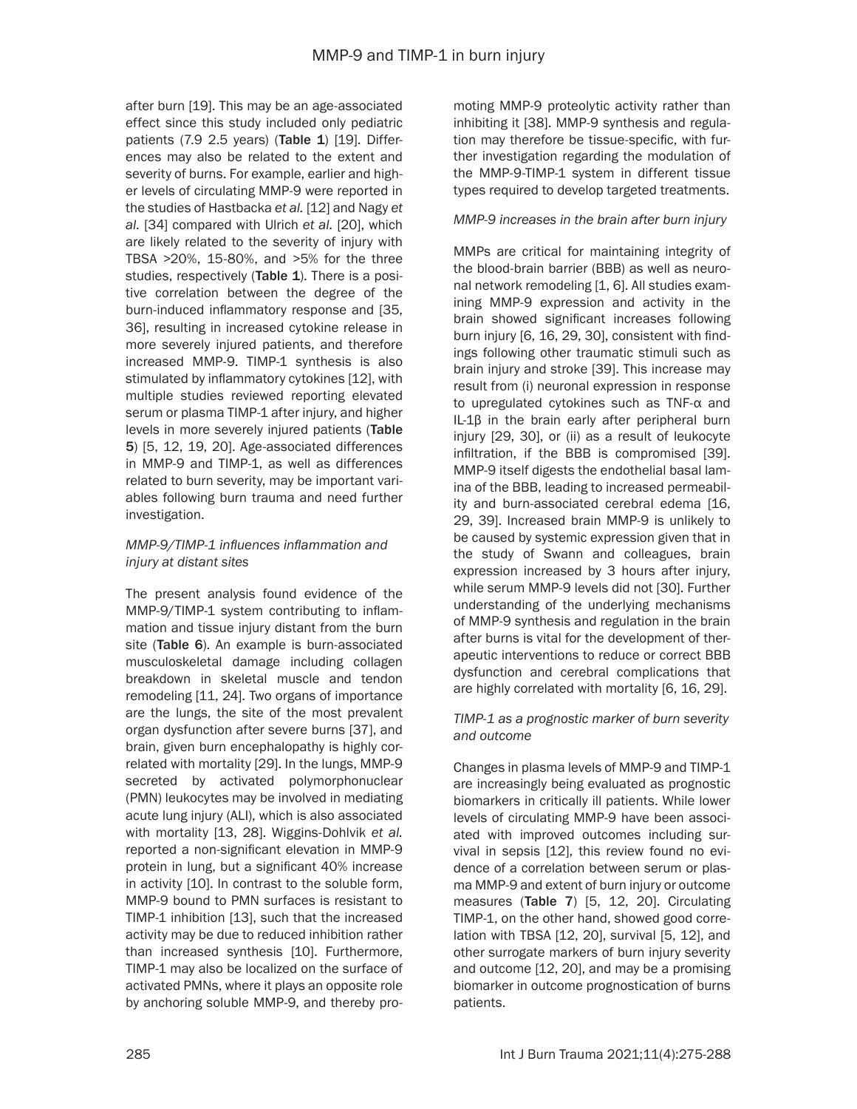after burn [19]. This may be an age-associated effect since this study included only pediatric patients  $(7.9 2.5 \text{ years})$  (Table 1)  $[19]$ . Differences may also be related to the extent and severity of burns. For example, earlier and higher levels of circulating MMP-9 were reported in the studies of Hastbacka *et al.* [12] and Nagy *et al.* [34] compared with Ulrich *et al.* [20], which are likely related to the severity of injury with TBSA >20%, 15-80%, and >5% for the three studies, respectively (Table  $1$ ). There is a positive correlation between the degree of the burn-induced inflammatory response and [35, 36], resulting in increased cytokine release in more severely injured patients, and therefore increased MMP-9. TIMP-1 synthesis is also stimulated by inflammatory cytokines [12], with multiple studies reviewed reporting elevated serum or plasma TIMP-1 after injury, and higher levels in more severely injured patients (Table 5) [5, 12, 19, 20]. Age-associated differences in MMP-9 and TIMP-1, as well as differences related to burn severity, may be important variables following burn trauma and need further investigation.

# *MMP-9/TIMP-1 influences inflammation and injury at distant sites*

The present analysis found evidence of the MMP-9/TIMP-1 system contributing to inflammation and tissue injury distant from the burn site (Table 6). An example is burn-associated musculoskeletal damage including collagen breakdown in skeletal muscle and tendon remodeling [11, 24]. Two organs of importance are the lungs, the site of the most prevalent organ dysfunction after severe burns [37], and brain, given burn encephalopathy is highly correlated with mortality [29]. In the lungs, MMP-9 secreted by activated polymorphonuclear (PMN) leukocytes may be involved in mediating acute lung injury (ALI), which is also associated with mortality [13, 28]. Wiggins-Dohlvik *et al.* reported a non-significant elevation in MMP-9 protein in lung, but a significant 40% increase in activity [10]. In contrast to the soluble form, MMP-9 bound to PMN surfaces is resistant to TIMP-1 inhibition [13], such that the increased activity may be due to reduced inhibition rather than increased synthesis [10]. Furthermore, TIMP-1 may also be localized on the surface of activated PMNs, where it plays an opposite role by anchoring soluble MMP-9, and thereby promoting MMP-9 proteolytic activity rather than inhibiting it [38]. MMP-9 synthesis and regulation may therefore be tissue-specific, with further investigation regarding the modulation of the MMP-9-TIMP-1 system in different tissue types required to develop targeted treatments.

# *MMP-9 increases in the brain after burn injury*

MMPs are critical for maintaining integrity of the blood-brain barrier (BBB) as well as neuronal network remodeling [1, 6]. All studies examining MMP-9 expression and activity in the brain showed significant increases following burn injury [6, 16, 29, 30], consistent with findings following other traumatic stimuli such as brain injury and stroke [39]. This increase may result from (i) neuronal expression in response to upregulated cytokines such as TNF-α and IL-1β in the brain early after peripheral burn injury [29, 30], or (ii) as a result of leukocyte infiltration, if the BBB is compromised [39]. MMP-9 itself digests the endothelial basal lamina of the BBB, leading to increased permeability and burn-associated cerebral edema [16, 29, 39]. Increased brain MMP-9 is unlikely to be caused by systemic expression given that in the study of Swann and colleagues, brain expression increased by 3 hours after injury, while serum MMP-9 levels did not [30]. Further understanding of the underlying mechanisms of MMP-9 synthesis and regulation in the brain after burns is vital for the development of therapeutic interventions to reduce or correct BBB dysfunction and cerebral complications that are highly correlated with mortality [6, 16, 29].

# *TIMP-1 as a prognostic marker of burn severity and outcome*

Changes in plasma levels of MMP-9 and TIMP-1 are increasingly being evaluated as prognostic biomarkers in critically ill patients. While lower levels of circulating MMP-9 have been associated with improved outcomes including survival in sepsis [12], this review found no evidence of a correlation between serum or plasma MMP-9 and extent of burn injury or outcome measures (Table 7) [5, 12, 20]. Circulating TIMP-1, on the other hand, showed good correlation with TBSA [12, 20], survival [5, 12], and other surrogate markers of burn injury severity and outcome [12, 20], and may be a promising biomarker in outcome prognostication of burns patients.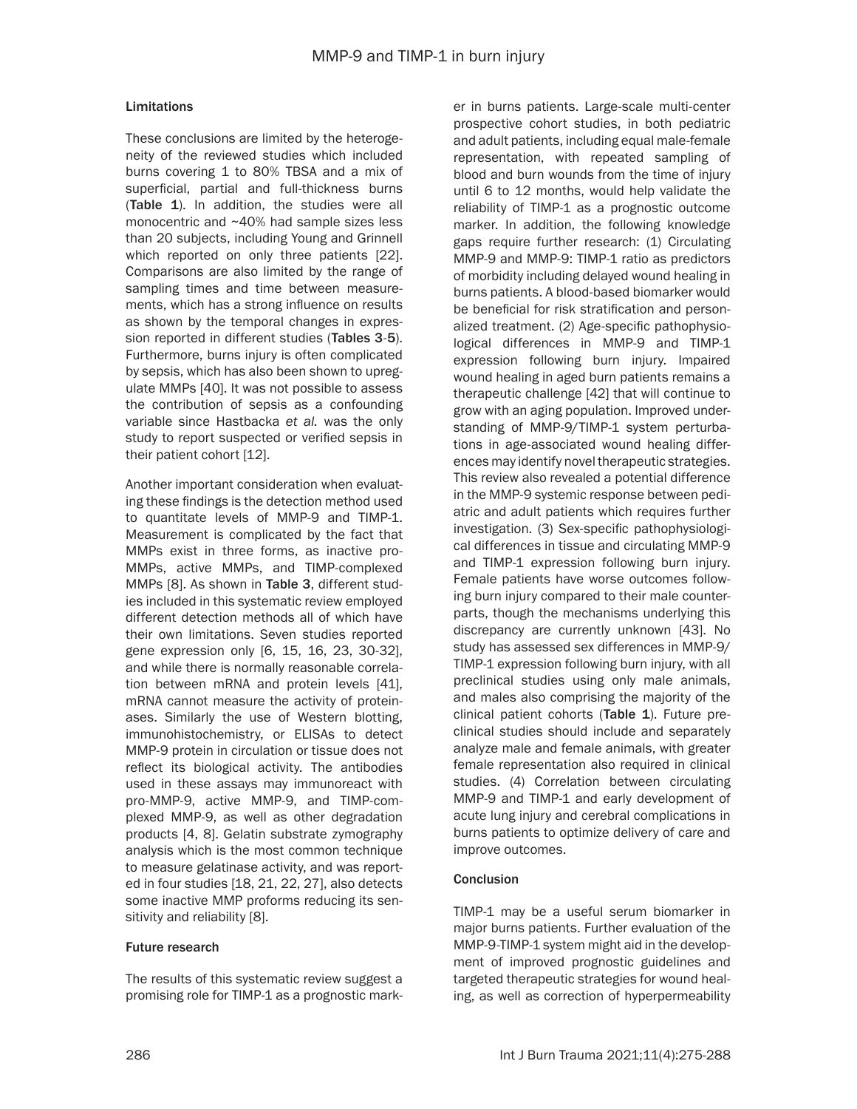# Limitations

These conclusions are limited by the heterogeneity of the reviewed studies which included burns covering 1 to 80% TBSA and a mix of superficial, partial and full-thickness burns (Table 1). In addition, the studies were all monocentric and ~40% had sample sizes less than 20 subjects, including Young and Grinnell which reported on only three patients [22]. Comparisons are also limited by the range of sampling times and time between measurements, which has a strong influence on results as shown by the temporal changes in expression reported in different studies (Tables 3-5). Furthermore, burns injury is often complicated by sepsis, which has also been shown to upregulate MMPs [40]. It was not possible to assess the contribution of sepsis as a confounding variable since Hastbacka *et al.* was the only study to report suspected or verified sepsis in their patient cohort [12].

Another important consideration when evaluating these findings is the detection method used to quantitate levels of MMP-9 and TIMP-1. Measurement is complicated by the fact that MMPs exist in three forms, as inactive pro-MMPs, active MMPs, and TIMP-complexed MMPs [8]. As shown in Table 3, different studies included in this systematic review employed different detection methods all of which have their own limitations. Seven studies reported gene expression only [6, 15, 16, 23, 30-32], and while there is normally reasonable correlation between mRNA and protein levels [41], mRNA cannot measure the activity of proteinases. Similarly the use of Western blotting, immunohistochemistry, or ELISAs to detect MMP-9 protein in circulation or tissue does not reflect its biological activity. The antibodies used in these assays may immunoreact with pro-MMP-9, active MMP-9, and TIMP-complexed MMP-9, as well as other degradation products [4, 8]. Gelatin substrate zymography analysis which is the most common technique to measure gelatinase activity, and was reported in four studies [18, 21, 22, 27], also detects some inactive MMP proforms reducing its sensitivity and reliability [8].

### Future research

The results of this systematic review suggest a promising role for TIMP-1 as a prognostic mark-

er in burns patients. Large-scale multi-center prospective cohort studies, in both pediatric and adult patients, including equal male-female representation, with repeated sampling of blood and burn wounds from the time of injury until 6 to 12 months, would help validate the reliability of TIMP-1 as a prognostic outcome marker. In addition, the following knowledge gaps require further research: (1) Circulating MMP-9 and MMP-9: TIMP-1 ratio as predictors of morbidity including delayed wound healing in burns patients. A blood-based biomarker would be beneficial for risk stratification and personalized treatment. (2) Age-specific pathophysiological differences in MMP-9 and TIMP-1 expression following burn injury. Impaired wound healing in aged burn patients remains a therapeutic challenge [42] that will continue to grow with an aging population. Improved understanding of MMP-9/TIMP-1 system perturbations in age-associated wound healing differences may identify novel therapeutic strategies. This review also revealed a potential difference in the MMP-9 systemic response between pediatric and adult patients which requires further investigation. (3) Sex-specific pathophysiological differences in tissue and circulating MMP-9 and TIMP-1 expression following burn injury. Female patients have worse outcomes following burn injury compared to their male counterparts, though the mechanisms underlying this discrepancy are currently unknown [43]. No study has assessed sex differences in MMP-9/ TIMP-1 expression following burn injury, with all preclinical studies using only male animals, and males also comprising the majority of the clinical patient cohorts (Table 1). Future preclinical studies should include and separately analyze male and female animals, with greater female representation also required in clinical studies. (4) Correlation between circulating MMP-9 and TIMP-1 and early development of acute lung injury and cerebral complications in burns patients to optimize delivery of care and improve outcomes.

### **Conclusion**

TIMP-1 may be a useful serum biomarker in major burns patients. Further evaluation of the MMP-9-TIMP-1 system might aid in the development of improved prognostic guidelines and targeted therapeutic strategies for wound healing, as well as correction of hyperpermeability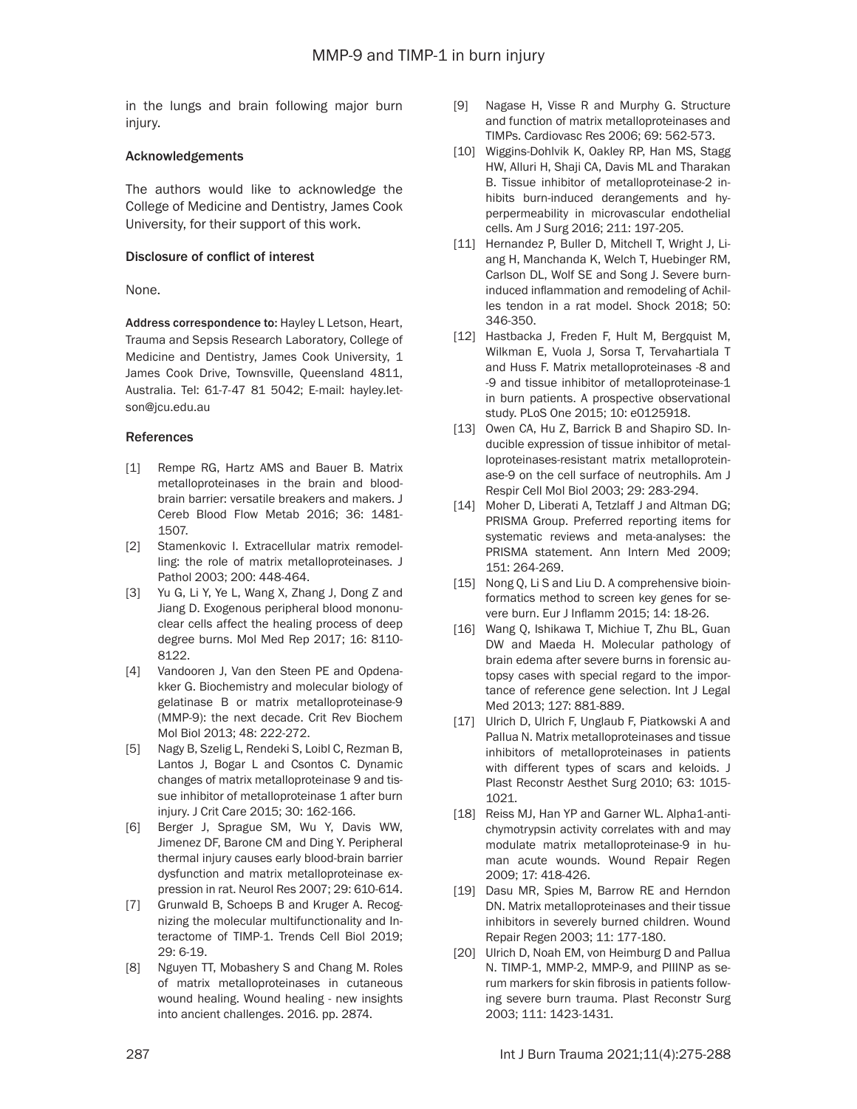in the lungs and brain following major burn injury.

### Acknowledgements

The authors would like to acknowledge the College of Medicine and Dentistry, James Cook University, for their support of this work.

### Disclosure of conflict of interest

None.

Address correspondence to: Hayley L Letson, Heart, Trauma and Sepsis Research Laboratory, College of Medicine and Dentistry, James Cook University, 1 James Cook Drive, Townsville, Queensland 4811, Australia. Tel: 61-7-47 81 5042; E-mail: [hayley.let](mailto:hayley.letson@jcu.edu.au)[son@jcu.edu.au](mailto:hayley.letson@jcu.edu.au)

# References

- [1] Rempe RG, Hartz AMS and Bauer B. Matrix metalloproteinases in the brain and bloodbrain barrier: versatile breakers and makers. J Cereb Blood Flow Metab 2016; 36: 1481- 1507.
- [2] Stamenkovic I. Extracellular matrix remodelling: the role of matrix metalloproteinases. J Pathol 2003; 200: 448-464.
- [3] Yu G, Li Y, Ye L, Wang X, Zhang J, Dong Z and Jiang D. Exogenous peripheral blood mononuclear cells affect the healing process of deep degree burns. Mol Med Rep 2017; 16: 8110- 8122.
- [4] Vandooren J, Van den Steen PE and Opdenakker G. Biochemistry and molecular biology of gelatinase B or matrix metalloproteinase-9 (MMP-9): the next decade. Crit Rev Biochem Mol Biol 2013; 48: 222-272.
- [5] Nagy B, Szelig L, Rendeki S, Loibl C, Rezman B, Lantos J, Bogar L and Csontos C. Dynamic changes of matrix metalloproteinase 9 and tissue inhibitor of metalloproteinase 1 after burn injury. J Crit Care 2015; 30: 162-166.
- [6] Berger J, Sprague SM, Wu Y, Davis WW, Jimenez DF, Barone CM and Ding Y. Peripheral thermal injury causes early blood-brain barrier dysfunction and matrix metalloproteinase expression in rat. Neurol Res 2007; 29: 610-614.
- [7] Grunwald B, Schoeps B and Kruger A. Recognizing the molecular multifunctionality and Interactome of TIMP-1. Trends Cell Biol 2019; 29: 6-19.
- [8] Nguyen TT, Mobashery S and Chang M. Roles of matrix metalloproteinases in cutaneous wound healing. Wound healing - new insights into ancient challenges. 2016. pp. 2874.
- [9] Nagase H, Visse R and Murphy G. Structure and function of matrix metalloproteinases and TIMPs. Cardiovasc Res 2006; 69: 562-573.
- [10] Wiggins-Dohlvik K, Oakley RP, Han MS, Stagg HW, Alluri H, Shaji CA, Davis ML and Tharakan B. Tissue inhibitor of metalloproteinase-2 inhibits burn-induced derangements and hyperpermeability in microvascular endothelial cells. Am J Surg 2016; 211: 197-205.
- [11] Hernandez P, Buller D, Mitchell T, Wright J, Liang H, Manchanda K, Welch T, Huebinger RM, Carlson DL, Wolf SE and Song J. Severe burninduced inflammation and remodeling of Achilles tendon in a rat model. Shock 2018; 50: 346-350.
- [12] Hastbacka J, Freden F, Hult M, Bergquist M, Wilkman E, Vuola J, Sorsa T, Tervahartiala T and Huss F. Matrix metalloproteinases -8 and -9 and tissue inhibitor of metalloproteinase-1 in burn patients. A prospective observational study. PLoS One 2015; 10: e0125918.
- [13] Owen CA, Hu Z, Barrick B and Shapiro SD. Inducible expression of tissue inhibitor of metalloproteinases-resistant matrix metalloproteinase-9 on the cell surface of neutrophils. Am J Respir Cell Mol Biol 2003; 29: 283-294.
- [14] Moher D, Liberati A, Tetzlaff J and Altman DG; PRISMA Group. Preferred reporting items for systematic reviews and meta-analyses: the PRISMA statement. Ann Intern Med 2009; 151: 264-269.
- [15] Nong Q, Li S and Liu D. A comprehensive bioinformatics method to screen key genes for severe burn. Eur J Inflamm 2015; 14: 18-26.
- [16] Wang Q, Ishikawa T, Michiue T, Zhu BL, Guan DW and Maeda H. Molecular pathology of brain edema after severe burns in forensic autopsy cases with special regard to the importance of reference gene selection. Int J Legal Med 2013; 127: 881-889.
- [17] Ulrich D, Ulrich F, Unglaub F, Piatkowski A and Pallua N. Matrix metalloproteinases and tissue inhibitors of metalloproteinases in patients with different types of scars and keloids. J Plast Reconstr Aesthet Surg 2010; 63: 1015- 1021.
- [18] Reiss MJ, Han YP and Garner WL. Alpha1-antichymotrypsin activity correlates with and may modulate matrix metalloproteinase-9 in human acute wounds. Wound Repair Regen 2009; 17: 418-426.
- [19] Dasu MR, Spies M, Barrow RE and Herndon DN. Matrix metalloproteinases and their tissue inhibitors in severely burned children. Wound Repair Regen 2003; 11: 177-180.
- [20] Ulrich D, Noah EM, von Heimburg D and Pallua N. TIMP-1, MMP-2, MMP-9, and PIIINP as serum markers for skin fibrosis in patients following severe burn trauma. Plast Reconstr Surg 2003; 111: 1423-1431.